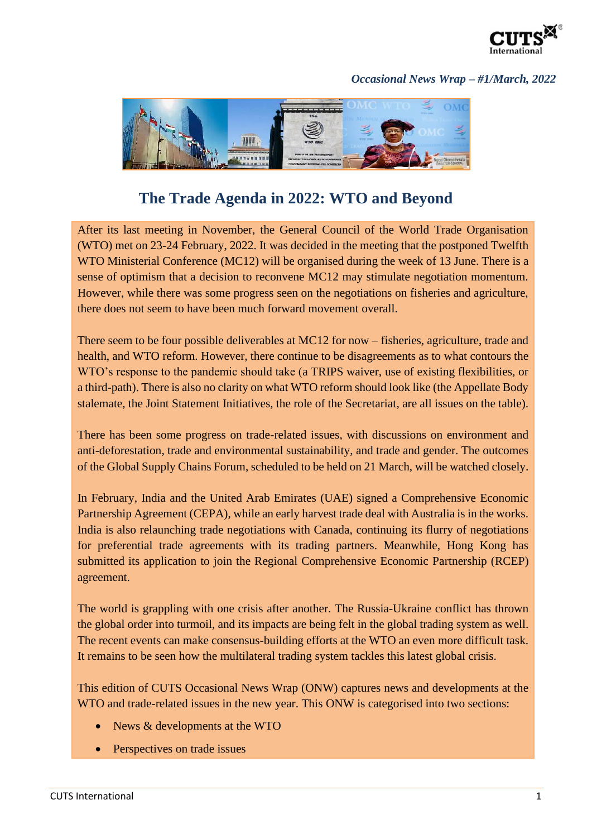

## *Occasional News Wrap – #1/March, 2022*



## **The Trade Agenda in 2022: WTO and Beyond**

After its last meeting in November, the General Council of the World Trade Organisation (WTO) met on 23-24 February, 2022. It was decided in the meeting that the postponed Twelfth WTO Ministerial Conference (MC12) will be organised during the week of 13 June. There is a sense of optimism that a decision to reconvene MC12 may stimulate negotiation momentum. However, while there was some progress seen on the negotiations on fisheries and agriculture, there does not seem to have been much forward movement overall.

There seem to be four possible deliverables at MC12 for now – fisheries, agriculture, trade and health, and WTO reform. However, there continue to be disagreements as to what contours the WTO's response to the pandemic should take (a TRIPS waiver, use of existing flexibilities, or a third-path). There is also no clarity on what WTO reform should look like (the Appellate Body stalemate, the Joint Statement Initiatives, the role of the Secretariat, are all issues on the table).

There has been some progress on trade-related issues, with discussions on environment and anti-deforestation, trade and environmental sustainability, and trade and gender. The outcomes of the Global Supply Chains Forum, scheduled to be held on 21 March, will be watched closely.

In February, India and the United Arab Emirates (UAE) signed a Comprehensive Economic Partnership Agreement (CEPA), while an early harvest trade deal with Australia is in the works. India is also relaunching trade negotiations with Canada, continuing its flurry of negotiations for preferential trade agreements with its trading partners. Meanwhile, Hong Kong has submitted its application to join the Regional Comprehensive Economic Partnership (RCEP) agreement.

The world is grappling with one crisis after another. The Russia-Ukraine conflict has thrown the global order into turmoil, and its impacts are being felt in the global trading system as well. The recent events can make consensus-building efforts at the WTO an even more difficult task. It remains to be seen how the multilateral trading system tackles this latest global crisis.

This edition of CUTS Occasional News Wrap (ONW) captures news and developments at the WTO and trade-related issues in the new year. This ONW is categorised into two sections:

- News & developments at the WTO
- Perspectives on trade issues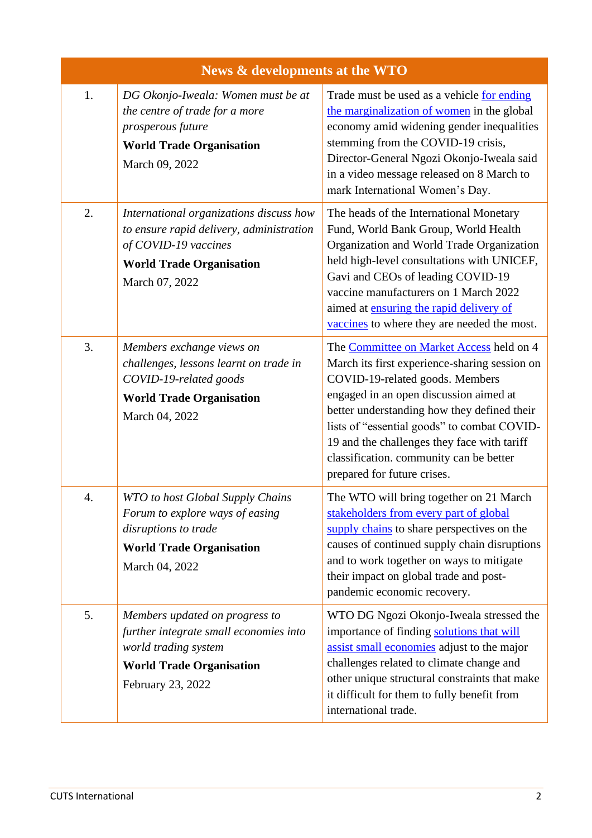| News & developments at the WTO |                                                                                                                                                                  |                                                                                                                                                                                                                                                                                                                                                                                               |  |
|--------------------------------|------------------------------------------------------------------------------------------------------------------------------------------------------------------|-----------------------------------------------------------------------------------------------------------------------------------------------------------------------------------------------------------------------------------------------------------------------------------------------------------------------------------------------------------------------------------------------|--|
| 1.                             | DG Okonjo-Iweala: Women must be at<br>the centre of trade for a more<br>prosperous future<br><b>World Trade Organisation</b><br>March 09, 2022                   | Trade must be used as a vehicle for ending<br>the marginalization of women in the global<br>economy amid widening gender inequalities<br>stemming from the COVID-19 crisis,<br>Director-General Ngozi Okonjo-Iweala said<br>in a video message released on 8 March to<br>mark International Women's Day.                                                                                      |  |
| 2.                             | International organizations discuss how<br>to ensure rapid delivery, administration<br>of COVID-19 vaccines<br><b>World Trade Organisation</b><br>March 07, 2022 | The heads of the International Monetary<br>Fund, World Bank Group, World Health<br>Organization and World Trade Organization<br>held high-level consultations with UNICEF,<br>Gavi and CEOs of leading COVID-19<br>vaccine manufacturers on 1 March 2022<br>aimed at ensuring the rapid delivery of<br>vaccines to where they are needed the most.                                            |  |
| 3.                             | Members exchange views on<br>challenges, lessons learnt on trade in<br>COVID-19-related goods<br><b>World Trade Organisation</b><br>March 04, 2022               | The Committee on Market Access held on 4<br>March its first experience-sharing session on<br>COVID-19-related goods. Members<br>engaged in an open discussion aimed at<br>better understanding how they defined their<br>lists of "essential goods" to combat COVID-<br>19 and the challenges they face with tariff<br>classification. community can be better<br>prepared for future crises. |  |
| 4.                             | WTO to host Global Supply Chains<br>Forum to explore ways of easing<br>disruptions to trade<br><b>World Trade Organisation</b><br>March 04, 2022                 | The WTO will bring together on 21 March<br>stakeholders from every part of global<br>supply chains to share perspectives on the<br>causes of continued supply chain disruptions<br>and to work together on ways to mitigate<br>their impact on global trade and post-<br>pandemic economic recovery.                                                                                          |  |
| 5.                             | Members updated on progress to<br>further integrate small economies into<br>world trading system<br><b>World Trade Organisation</b><br>February 23, 2022         | WTO DG Ngozi Okonjo-Iweala stressed the<br>importance of finding solutions that will<br>assist small economies adjust to the major<br>challenges related to climate change and<br>other unique structural constraints that make<br>it difficult for them to fully benefit from<br>international trade.                                                                                        |  |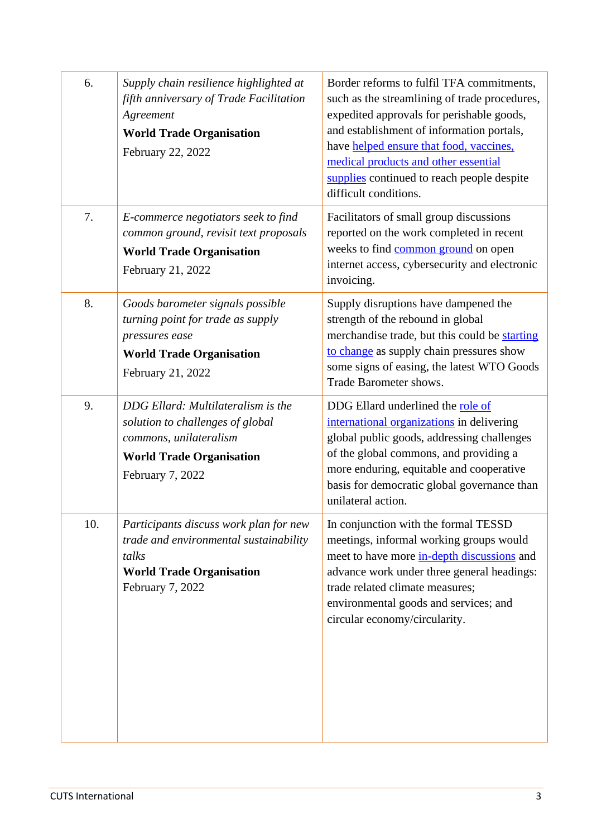| 6.  | Supply chain resilience highlighted at<br>fifth anniversary of Trade Facilitation<br>Agreement<br><b>World Trade Organisation</b><br>February 22, 2022  | Border reforms to fulfil TFA commitments,<br>such as the streamlining of trade procedures,<br>expedited approvals for perishable goods,<br>and establishment of information portals,<br>have helped ensure that food, vaccines,<br>medical products and other essential<br>supplies continued to reach people despite<br>difficult conditions. |
|-----|---------------------------------------------------------------------------------------------------------------------------------------------------------|------------------------------------------------------------------------------------------------------------------------------------------------------------------------------------------------------------------------------------------------------------------------------------------------------------------------------------------------|
| 7.  | E-commerce negotiators seek to find<br>common ground, revisit text proposals<br><b>World Trade Organisation</b><br>February 21, 2022                    | Facilitators of small group discussions<br>reported on the work completed in recent<br>weeks to find common ground on open<br>internet access, cybersecurity and electronic<br>invoicing.                                                                                                                                                      |
| 8.  | Goods barometer signals possible<br>turning point for trade as supply<br>pressures ease<br><b>World Trade Organisation</b><br>February 21, 2022         | Supply disruptions have dampened the<br>strength of the rebound in global<br>merchandise trade, but this could be starting<br>to change as supply chain pressures show<br>some signs of easing, the latest WTO Goods<br>Trade Barometer shows.                                                                                                 |
| 9.  | DDG Ellard: Multilateralism is the<br>solution to challenges of global<br>commons, unilateralism<br><b>World Trade Organisation</b><br>February 7, 2022 | DDG Ellard underlined the role of<br>international organizations in delivering<br>global public goods, addressing challenges<br>of the global commons, and providing a<br>more enduring, equitable and cooperative<br>basis for democratic global governance than<br>unilateral action.                                                        |
| 10. | Participants discuss work plan for new<br>trade and environmental sustainability<br>talks<br><b>World Trade Organisation</b><br>February 7, 2022        | In conjunction with the formal TESSD<br>meetings, informal working groups would<br>meet to have more in-depth discussions and<br>advance work under three general headings:<br>trade related climate measures;<br>environmental goods and services; and<br>circular economy/circularity.                                                       |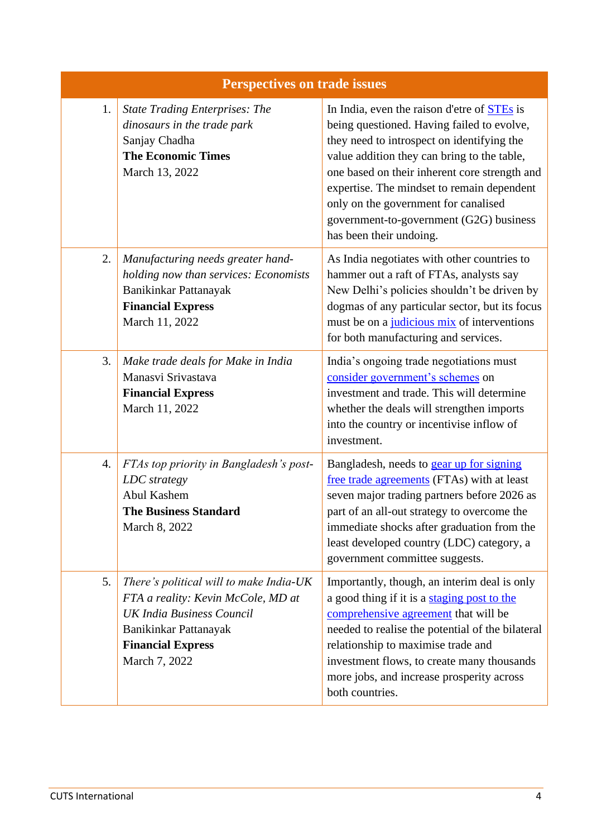| <b>Perspectives on trade issues</b> |                                                                                                                                                                                         |                                                                                                                                                                                                                                                                                                                                                                                                     |  |  |
|-------------------------------------|-----------------------------------------------------------------------------------------------------------------------------------------------------------------------------------------|-----------------------------------------------------------------------------------------------------------------------------------------------------------------------------------------------------------------------------------------------------------------------------------------------------------------------------------------------------------------------------------------------------|--|--|
| 1.                                  | <b>State Trading Enterprises: The</b><br>dinosaurs in the trade park<br>Sanjay Chadha<br><b>The Economic Times</b><br>March 13, 2022                                                    | In India, even the raison d'etre of STEs is<br>being questioned. Having failed to evolve,<br>they need to introspect on identifying the<br>value addition they can bring to the table,<br>one based on their inherent core strength and<br>expertise. The mindset to remain dependent<br>only on the government for canalised<br>government-to-government (G2G) business<br>has been their undoing. |  |  |
| 2.                                  | Manufacturing needs greater hand-<br>holding now than services: Economists<br>Banikinkar Pattanayak<br><b>Financial Express</b><br>March 11, 2022                                       | As India negotiates with other countries to<br>hammer out a raft of FTAs, analysts say<br>New Delhi's policies shouldn't be driven by<br>dogmas of any particular sector, but its focus<br>must be on a judicious mix of interventions<br>for both manufacturing and services.                                                                                                                      |  |  |
| 3.                                  | Make trade deals for Make in India<br>Manasvi Srivastava<br><b>Financial Express</b><br>March 11, 2022                                                                                  | India's ongoing trade negotiations must<br>consider government's schemes on<br>investment and trade. This will determine<br>whether the deals will strengthen imports<br>into the country or incentivise inflow of<br>investment.                                                                                                                                                                   |  |  |
| 4.                                  | FTAs top priority in Bangladesh's post-<br>LDC strategy<br>Abul Kashem<br><b>The Business Standard</b><br>March 8, 2022                                                                 | Bangladesh, needs to gear up for signing<br>free trade agreements (FTAs) with at least<br>seven major trading partners before 2026 as<br>part of an all-out strategy to overcome the<br>immediate shocks after graduation from the<br>least developed country (LDC) category, a<br>government committee suggests.                                                                                   |  |  |
| 5.                                  | There's political will to make India-UK<br>FTA a reality: Kevin McCole, MD at<br><b>UK India Business Council</b><br>Banikinkar Pattanayak<br><b>Financial Express</b><br>March 7, 2022 | Importantly, though, an interim deal is only<br>a good thing if it is a staging post to the<br>comprehensive agreement that will be<br>needed to realise the potential of the bilateral<br>relationship to maximise trade and<br>investment flows, to create many thousands<br>more jobs, and increase prosperity across<br>both countries.                                                         |  |  |